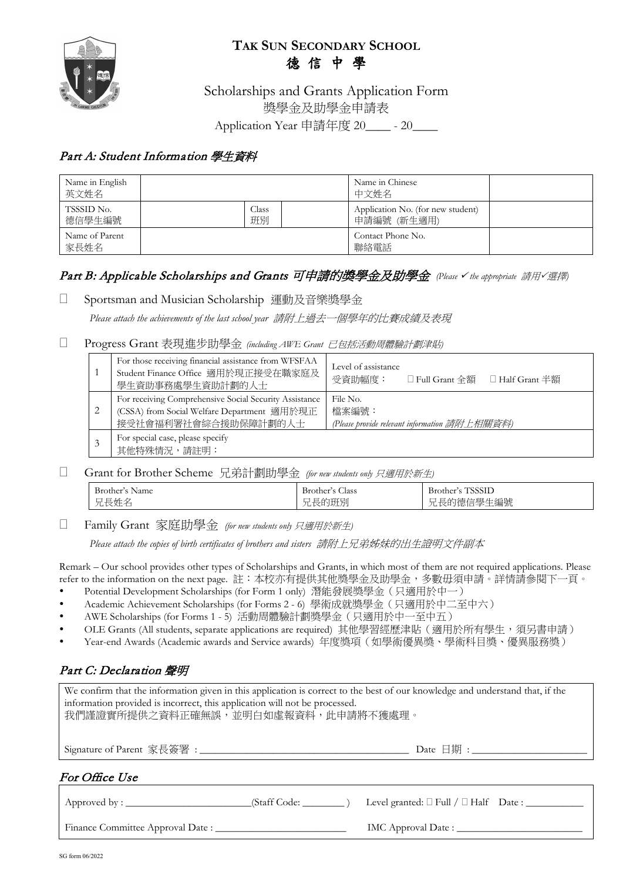

# **TAK SUN SECONDARY SCHOOL** 德 信 中 學

Scholarships and Grants Application Form 獎學金及助學金申請表 Application Year 申請年度 20\_\_\_\_ - 20

### Part A: Student Information 學生資料

| Name in English<br>英文姓名 |  |             | Name in Chinese<br>中文姓名                          |  |
|-------------------------|--|-------------|--------------------------------------------------|--|
| TSSSID No.<br>德信學生編號    |  | Class<br>班別 | Application No. (for new student)<br>申請編號 (新生適用) |  |
| Name of Parent<br>家長姓名  |  |             | Contact Phone No.<br>聯絡電話                        |  |

## Part B: Applicable Scholarships and Grants 可申請的獎學金及助學金 (Please V the appropriate 請用 V選擇)

### □ Sportsman and Musician Scholarship 運動及音樂獎學金

*Please attach the achievements of the last school year* 請附上過去一個學年的比賽成績及表現

#### Progress Grant 表現進步助學金 *(including AWE Grant* 已包括活動周體驗計劃津貼*)*

| -1 | For those receiving financial assistance from WFSFAA<br>Student Finance Office 適用於現正接受在職家庭及<br>學生資助事務處學生資助計劃的人士               | Level of assistance<br>受資助幅度:<br>□ Full Grant 全額<br>□ Half Grant 半額 |  |  |  |
|----|-------------------------------------------------------------------------------------------------------------------------------|---------------------------------------------------------------------|--|--|--|
| 2  | For receiving Comprehensive Social Security Assistance<br>(CSSA) from Social Welfare Department 適用於現正<br>接受社會福利署社會綜合援助保障計劃的人士 | File No.<br>檔案編號:<br>(Please provide relevant information 請附上相關資料)  |  |  |  |
| 3  | For special case, please specify<br>其他特殊情況,請註明:                                                                               |                                                                     |  |  |  |

#### Grant for Brother Scheme 兄弟計劃助學金 *(for new students only* 只適用於新生*)*

| Brother'<br>Name                             | $\sim$<br>$\mathbf{D}$<br>Brother<br>Class | -<br>Brother<br>3331 L                                                        |
|----------------------------------------------|--------------------------------------------|-------------------------------------------------------------------------------|
| $\equiv 44$<br>_<br>∼<br>.<br>سي<br>ノロレベスエンロ | 班班<br>⇁<br>ີ                               | 石叶<br>-<br>ᆖ<br>7mr<br>∽<br>土編犹<br>— <del>— 1</del><br>1忌1百<br>$\overline{1}$ |

Family Grant 家庭助學金 *(for new students only* 只適用於新生*)*

*Please attach the copies of birth certificates of brothers and sisters* 請附上兄弟姊妹的出生證明文件副本

Remark – Our school provides other types of Scholarships and Grants, in which most of them are not required applications. Please refer to the information on the next page. 註:本校亦有提供其他獎學金及助學金,多數毋須申請。詳情請參閱下一頁。

- Potential Development Scholarships (for Form 1 only) 潛能發展獎學金(只適用於中一)
- Academic Achievement Scholarships (for Forms 2 6) 學術成就獎學金(只適用於中二至中六)
- AWE Scholarships (for Forms 1 5) 活動周體驗計劃獎學金(只適用於中一至中五)
- OLE Grants (All students, separate applications are required) 其他學習經歷津貼 ( 適用於所有學生, 須另書申請)
- Year-end Awards (Academic awards and Service awards) 年度獎項(如學術優異獎、學術科目獎、優異服務獎)

### Part C: Declaration 聲明

| We confirm that the information given in this application is correct to the best of our knowledge and understand that, if the<br>information provided is incorrect, this application will not be processed.<br>我們謹證實所提供之資料正確無誤,並明白如虛報資料,此申請將不獲處理。 |  |  |  |  |  |
|---------------------------------------------------------------------------------------------------------------------------------------------------------------------------------------------------------------------------------------------------|--|--|--|--|--|
|                                                                                                                                                                                                                                                   |  |  |  |  |  |
| For Office Use                                                                                                                                                                                                                                    |  |  |  |  |  |
| $(Staff Code: \_\_)$                                                                                                                                                                                                                              |  |  |  |  |  |
|                                                                                                                                                                                                                                                   |  |  |  |  |  |